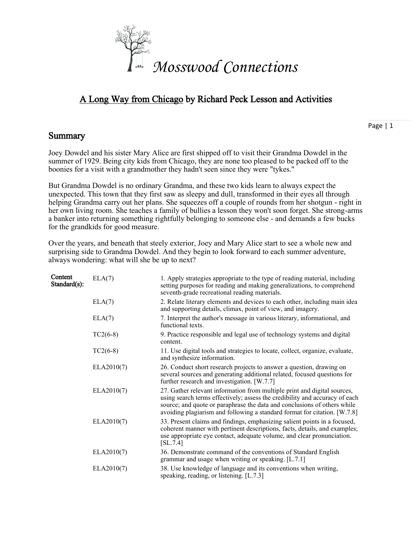

# A Long Way from Chicago by Richard Peck Lesson and Activities

## **Summary**

Page | 1

Joey Dowdel and his sister Mary Alice are first shipped off to visit their Grandma Dowdel in the summer of 1929. Being city kids from Chicago, they are none too pleased to be packed off to the boonies for a visit with a grandmother they hadn't seen since they were "tykes."

But Grandma Dowdel is no ordinary Grandma, and these two kids learn to always expect the unexpected. This town that they first saw as sleepy and dull, transformed in their eyes all through helping Grandma carry out her plans. She squeezes off a couple of rounds from her shotgun - right in her own living room. She teaches a family of bullies a lesson they won't soon forget. She strong-arms a banker into returning something rightfully belonging to someone else - and demands a few bucks for the grandkids for good measure.

Over the years, and beneath that steely exterior, Joey and Mary Alice start to see a whole new and surprising side to Grandma Dowdel. And they begin to look forward to each summer adventure, always wondering: what will she be up to next?

| Content<br>Standard(s): | ELA(7)     | 1. Apply strategies appropriate to the type of reading material, including<br>setting purposes for reading and making generalizations, to comprehend<br>seventh-grade recreational reading materials.                                                                                                            |
|-------------------------|------------|------------------------------------------------------------------------------------------------------------------------------------------------------------------------------------------------------------------------------------------------------------------------------------------------------------------|
|                         | ELA(7)     | 2. Relate literary elements and devices to each other, including main idea<br>and supporting details, climax, point of view, and imagery.                                                                                                                                                                        |
|                         | ELA(7)     | 7. Interpret the author's message in various literary, informational, and<br>functional texts.                                                                                                                                                                                                                   |
|                         | $TC2(6-8)$ | 9. Practice responsible and legal use of technology systems and digital<br>content.                                                                                                                                                                                                                              |
|                         | $TC2(6-8)$ | 11. Use digital tools and strategies to locate, collect, organize, evaluate,<br>and synthesize information.                                                                                                                                                                                                      |
|                         | ELA2010(7) | 26. Conduct short research projects to answer a question, drawing on<br>several sources and generating additional related, focused questions for<br>further research and investigation. [W.7.7]                                                                                                                  |
|                         | ELA2010(7) | 27. Gather relevant information from multiple print and digital sources,<br>using search terms effectively; assess the credibility and accuracy of each<br>source; and quote or paraphrase the data and conclusions of others while<br>avoiding plagiarism and following a standard format for citation. [W.7.8] |
|                         | ELA2010(7) | 33. Present claims and findings, emphasizing salient points in a focused,<br>coherent manner with pertinent descriptions, facts, details, and examples;<br>use appropriate eye contact, adequate volume, and clear pronunciation.<br>[SL.7.4]                                                                    |
|                         | ELA2010(7) | 36. Demonstrate command of the conventions of Standard English<br>grammar and usage when writing or speaking. [L.7.1]                                                                                                                                                                                            |
|                         | ELA2010(7) | 38. Use knowledge of language and its conventions when writing,<br>speaking, reading, or listening. [L.7.3]                                                                                                                                                                                                      |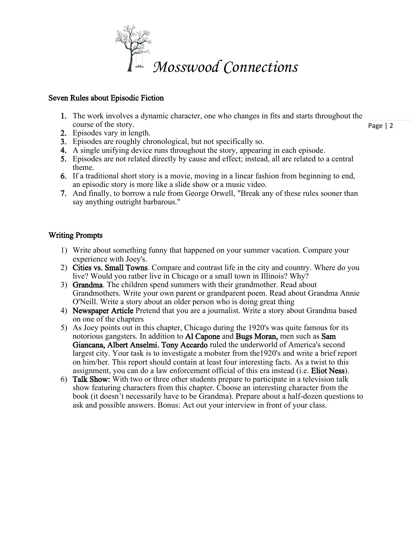

### Seven Rules about Episodic Fiction

- Page | 2 1. The work involves a dynamic character, one who changes in fits and starts throughout the course of the story.
- 2. Episodes vary in length.
- 3. Episodes are roughly chronological, but not specifically so.
- 4. A single unifying device runs throughout the story, appearing in each episode.
- 5. Episodes are not related directly by cause and effect; instead, all are related to a central theme.
- 6. If a traditional short story is a movie, moving in a linear fashion from beginning to end, an episodic story is more like a slide show or a music video.
- 7. And finally, to borrow a rule from George Orwell, "Break any of these rules sooner than say anything outright barbarous."

## Writing Prompts

- 1) Write about something funny that happened on your summer vacation. Compare your experience with Joey's.
- 2) Cities vs. Small Towns. Compare and contrast life in the city and country. Where do you live? Would you rather live in Chicago or a small town in Illinois? Why?
- 3) Grandma. The children spend summers with their grandmother. Read about Grandmothers. Write your own parent or grandparent poem. Read about Grandma Annie O'Neill. Write a story about an older person who is doing great thing
- 4) Newspaper Article Pretend that you are a journalist. Write a story about Grandma based on one of the chapters
- 5) As Joey points out in this chapter, Chicago during the 1920's was quite famous for its notorious gangsters. In addition to Al Capone and Bugs Moran, men such as Sam Giancana, Albert Anselmi, Tony Accardo ruled the underworld of America's second largest city. Your task is to investigate a mobster from the1920's and write a brief report on him/her. This report should contain at least four interesting facts. As a twist to this assignment, you can do a law enforcement official of this era instead (i.e. Eliot Ness).
- 6) Talk Show: With two or three other students prepare to participate in a television talk show featuring characters from this chapter. Choose an interesting character from the book (it doesn't necessarily have to be Grandma). Prepare about a half-dozen questions to ask and possible answers. Bonus: Act out your interview in front of your class.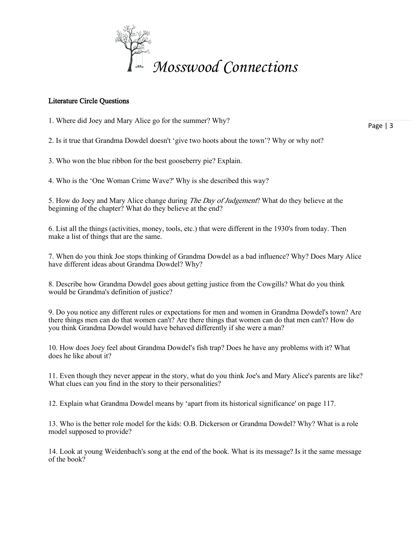

#### Literature Circle Questions

1. Where did Joey and Mary Alice go for the summer? Why?

2. Is it true that Grandma Dowdel doesn't 'give two hoots about the town'? Why or why not?

3. Who won the blue ribbon for the best gooseberry pie? Explain.

4. Who is the 'One Woman Crime Wave?' Why is she described this way?

5. How do Joey and Mary Alice change during *The Day of Judgement*? What do they believe at the beginning of the chapter? What do they believe at the end?

6. List all the things (activities, money, tools, etc.) that were different in the 1930's from today. Then make a list of things that are the same.

7. When do you think Joe stops thinking of Grandma Dowdel as a bad influence? Why? Does Mary Alice have different ideas about Grandma Dowdel? Why?

8. Describe how Grandma Dowdel goes about getting justice from the Cowgills? What do you think would be Grandma's definition of justice?

9. Do you notice any different rules or expectations for men and women in Grandma Dowdel's town? Are there things men can do that women can't? Are there things that women can do that men can't? How do you think Grandma Dowdel would have behaved differently if she were a man?

10. How does Joey feel about Grandma Dowdel's fish trap? Does he have any problems with it? What does he like about it?

11. Even though they never appear in the story, what do you think Joe's and Mary Alice's parents are like? What clues can you find in the story to their personalities?

12. Explain what Grandma Dowdel means by 'apart from its historical significance' on page 117.

13. Who is the better role model for the kids: O.B. Dickerson or Grandma Dowdel? Why? What is a role model supposed to provide?

14. Look at young Weidenbach's song at the end of the book. What is its message? Is it the same message of the book?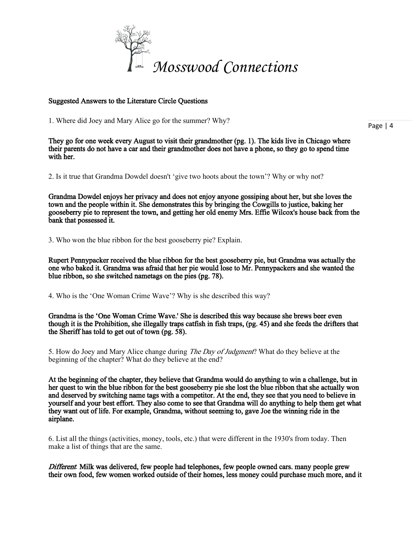

#### Suggested Answers to the Literature Circle Questions

1. Where did Joey and Mary Alice go for the summer? Why?

Page | 4

They go for one week every August to visit their grandmother (pg. 1). The kids live in Chicago where their parents do not have a car and their grandmother does not have a phone, so they go to spend time with her.

2. Is it true that Grandma Dowdel doesn't 'give two hoots about the town'? Why or why not?

Grandma Dowdel enjoys her privacy and does not enjoy anyone gossiping about her, but she loves the town and the people within it. She demonstrates this by bringing the Cowgills to justice, baking her gooseberry pie to represent the town, and getting her old enemy Mrs. Effie Wilcox's house back from the bank that possessed it.

3. Who won the blue ribbon for the best gooseberry pie? Explain.

Rupert Pennypacker received the blue ribbon for the best gooseberry pie, but Grandma was actually the one who baked it. Grandma was afraid that her pie would lose to Mr. Pennypackers and she wanted the blue ribbon, so she switched nametags on the pies (pg. 78).

4. Who is the 'One Woman Crime Wave'? Why is she described this way?

Grandma is the 'One Woman Crime Wave.' She is described this way because she brews beer even though it is the Prohibition, she illegally traps catfish in fish traps, (pg. 45) and she feeds the drifters that the Sheriff has told to get out of town (pg. 58).

5. How do Joey and Mary Alice change during *The Day of Judgment*? What do they believe at the beginning of the chapter? What do they believe at the end?

At the beginning of the chapter, they believe that Grandma would do anything to win a challenge, but in her quest to win the blue ribbon for the best gooseberry pie she lost the blue ribbon that she actually won and deserved by switching name tags with a competitor. At the end, they see that you need to believe in yourself and your best effort. They also come to see that Grandma will do anything to help them get what they want out of life. For example, Grandma, without seeming to, gave Joe the winning ride in the airplane.

6. List all the things (activities, money, tools, etc.) that were different in the 1930's from today. Then make a list of things that are the same.

Different: Milk was delivered, few people had telephones, few people owned cars, many people grew their own food, few women worked outside of their homes, less money could purchase much more, and it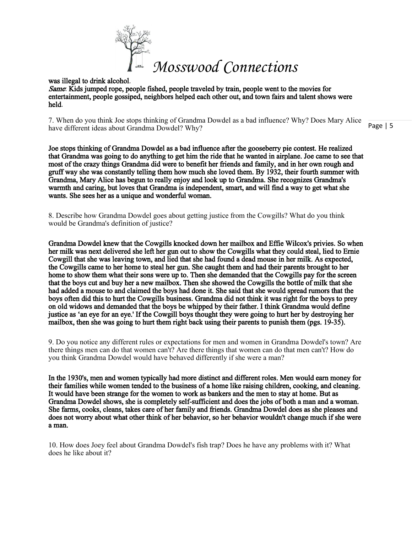

was illegal to drink alcohol. Same: Kids jumped rope, people fished, people traveled by train, people went to the movies for entertainment, people gossiped, neighbors helped each other out, and town fairs and talent shows were held.

7. When do you think Joe stops thinking of Grandma Dowdel as a bad influence? Why? Does Mary Alice have different ideas about Grandma Dowdel? Why?

Joe stops thinking of Grandma Dowdel as a bad influence after the gooseberry pie contest. He realized that Grandma was going to do anything to get him the ride that he wanted in airplane. Joe came to see that most of the crazy things Grandma did were to benefit her friends and family, and in her own rough and gruff way she was constantly telling them how much she loved them. By 1932, their fourth summer with Grandma, Mary Alice has begun to really enjoy and look up to Grandma. She recognizes Grandma's warmth and caring, but loves that Grandma is independent, smart, and will find a way to get what she wants. She sees her as a unique and wonderful woman.

8. Describe how Grandma Dowdel goes about getting justice from the Cowgills? What do you think would be Grandma's definition of justice?

Grandma Dowdel knew that the Cowgills knocked down her mailbox and Effie Wilcox's privies. So when her milk was next delivered she left her gun out to show the Cowgills what they could steal, lied to Ernie Cowgill that she was leaving town, and lied that she had found a dead mouse in her milk. As expected, the Cowgills came to her home to steal her gun. She caught them and had their parents brought to her home to show them what their sons were up to. Then she demanded that the Cowgills pay for the screen that the boys cut and buy her a new mailbox. Then she showed the Cowgills the bottle of milk that she had added a mouse to and claimed the boys had done it. She said that she would spread rumors that the boys often did this to hurt the Cowgills business. Grandma did not think it was right for the boys to prey on old widows and demanded that the boys be whipped by their father. I think Grandma would define justice as 'an eye for an eye.' If the Cowgill boys thought they were going to hurt her by destroying her mailbox, then she was going to hurt them right back using their parents to punish them (pgs. 19-35).

9. Do you notice any different rules or expectations for men and women in Grandma Dowdel's town? Are there things men can do that women can't? Are there things that women can do that men can't? How do you think Grandma Dowdel would have behaved differently if she were a man?

In the 1930's, men and women typically had more distinct and different roles. Men would earn money for their families while women tended to the business of a home like raising children, cooking, and cleaning. It would have been strange for the women to work as bankers and the men to stay at home. But as Grandma Dowdel shows, she is completely self-sufficient and does the jobs of both a man and a woman. She farms, cooks, cleans, takes care of her family and friends. Grandma Dowdel does as she pleases and does not worry about what other think of her behavior, so her behavior wouldn't change much if she were a man.

10. How does Joey feel about Grandma Dowdel's fish trap? Does he have any problems with it? What does he like about it?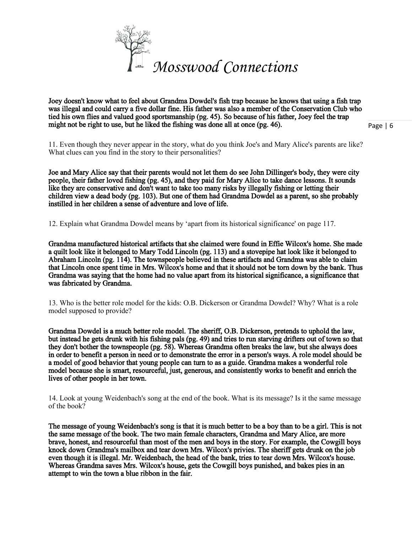

Joey doesn't know what to feel about Grandma Dowdel's fish trap because he knows that using a fish trap was illegal and could carry a five dollar fine. His father was also a member of the Conservation Club who tied his own flies and valued good sportsmanship (pg. 45). So because of his father, Joey feel the trap might not be right to use, but he liked the fishing was done all at once (pg. 46).

Page | 6

11. Even though they never appear in the story, what do you think Joe's and Mary Alice's parents are like? What clues can you find in the story to their personalities?

Joe and Mary Alice say that their parents would not let them do see John Dillinger's body, they were city people, their father loved fishing (pg. 45), and they paid for Mary Alice to take dance lessons. It sounds like they are conservative and don't want to take too many risks by illegally fishing or letting their children view a dead body (pg. 103). But one of them had Grandma Dowdel as a parent, so she probably instilled in her children a sense of adventure and love of life.

12. Explain what Grandma Dowdel means by 'apart from its historical significance' on page 117.

Grandma manufactured historical artifacts that she claimed were found in Effie Wilcox's home. She made a quilt look like it belonged to Mary Todd Lincoln (pg. 113) and a stovepipe hat look like it belonged to Abraham Lincoln (pg. 114). The townspeople believed in these artifacts and Grandma was able to claim that Lincoln once spent time in Mrs. Wilcox's home and that it should not be torn down by the bank. Thus Grandma was saying that the home had no value apart from its historical significance, a significance that was fabricated by Grandma.

13. Who is the better role model for the kids: O.B. Dickerson or Grandma Dowdel? Why? What is a role model supposed to provide?

Grandma Dowdel is a much better role model. The sheriff, O.B. Dickerson, pretends to uphold the law, but instead he gets drunk with his fishing pals (pg. 49) and tries to run starving drifters out of town so that they don't bother the townspeople (pg. 58). Whereas Grandma often breaks the law, but she always does in order to benefit a person in need or to demonstrate the error in a person's ways. A role model should be a model of good behavior that young people can turn to as a guide. Grandma makes a wonderful role model because she is smart, resourceful, just, generous, and consistently works to benefit and enrich the lives of other people in her town.

14. Look at young Weidenbach's song at the end of the book. What is its message? Is it the same message of the book?

The message of young Weidenbach's song is that it is much better to be a boy than to be a girl. This is not the same message of the book. The two main female characters, Grandma and Mary Alice, are more brave, honest, and resourceful than most of the men and boys in the story. For example, the Cowgill boys knock down Grandma's mailbox and tear down Mrs. Wilcox's privies. The sheriff gets drunk on the job even though it is illegal. Mr. Weidenbach, the head of the bank, tries to tear down Mrs. Wilcox's house. Whereas Grandma saves Mrs. Wilcox's house, gets the Cowgill boys punished, and bakes pies in an attempt to win the town a blue ribbon in the fair.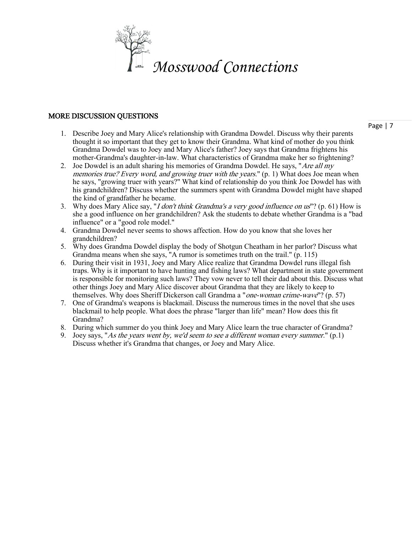

#### MORE DISCUSSION QUESTIONS

- 1. Describe Joey and Mary Alice's relationship with Grandma Dowdel. Discuss why their parents thought it so important that they get to know their Grandma. What kind of mother do you think Grandma Dowdel was to Joey and Mary Alice's father? Joey says that Grandma frightens his mother-Grandma's daughter-in-law. What characteristics of Grandma make her so frightening?
- 2. Joe Dowdel is an adult sharing his memories of Grandma Dowdel. He says, "Are all my memories true? Every word, and growing truer with the years." (p. 1) What does Joe mean when he says, "growing truer with years?" What kind of relationship do you think Joe Dowdel has with his grandchildren? Discuss whether the summers spent with Grandma Dowdel might have shaped the kind of grandfather he became.
- 3. Why does Mary Alice say, "I don't think Grandma's a very good influence on us"? (p. 61) How is she a good influence on her grandchildren? Ask the students to debate whether Grandma is a "bad influence" or a "good role model."
- 4. Grandma Dowdel never seems to shows affection. How do you know that she loves her grandchildren?
- 5. Why does Grandma Dowdel display the body of Shotgun Cheatham in her parlor? Discuss what Grandma means when she says, "A rumor is sometimes truth on the trail." (p. 115)
- 6. During their visit in 1931, Joey and Mary Alice realize that Grandma Dowdel runs illegal fish traps. Why is it important to have hunting and fishing laws? What department in state government is responsible for monitoring such laws? They vow never to tell their dad about this. Discuss what other things Joey and Mary Alice discover about Grandma that they are likely to keep to themselves. Why does Sheriff Dickerson call Grandma a "*one-woman crime-wave*"? (p. 57)
- 7. One of Grandma's weapons is blackmail. Discuss the numerous times in the novel that she uses blackmail to help people. What does the phrase "larger than life" mean? How does this fit Grandma?
- 8. During which summer do you think Joey and Mary Alice learn the true character of Grandma?
- 9. Joey says, "As the years went by, we'd seem to see a different woman every summer." (p.1) Discuss whether it's Grandma that changes, or Joey and Mary Alice.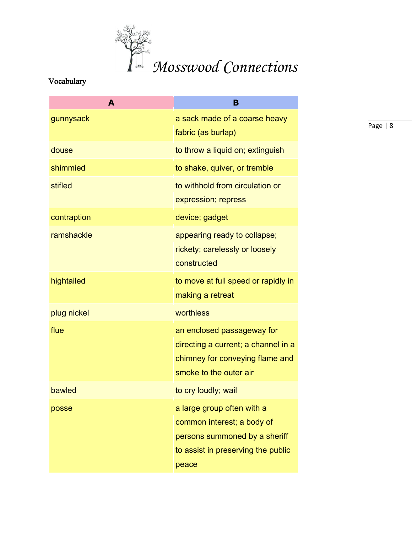

# Vocabulary

| A           | B                                                                                                                                        |
|-------------|------------------------------------------------------------------------------------------------------------------------------------------|
| gunnysack   | a sack made of a coarse heavy<br>fabric (as burlap)                                                                                      |
| douse       | to throw a liquid on; extinguish                                                                                                         |
| shimmied    | to shake, quiver, or tremble                                                                                                             |
| stifled     | to withhold from circulation or<br>expression; repress                                                                                   |
| contraption | device; gadget                                                                                                                           |
| ramshackle  | appearing ready to collapse;<br>rickety; carelessly or loosely<br>constructed                                                            |
| hightailed  | to move at full speed or rapidly in<br>making a retreat                                                                                  |
| plug nickel | worthless                                                                                                                                |
| flue        | an enclosed passageway for<br>directing a current; a channel in a<br>chimney for conveying flame and<br>smoke to the outer air           |
| bawled      | to cry loudly; wail                                                                                                                      |
| posse       | a large group often with a<br>common interest; a body of<br>persons summoned by a sheriff<br>to assist in preserving the public<br>peace |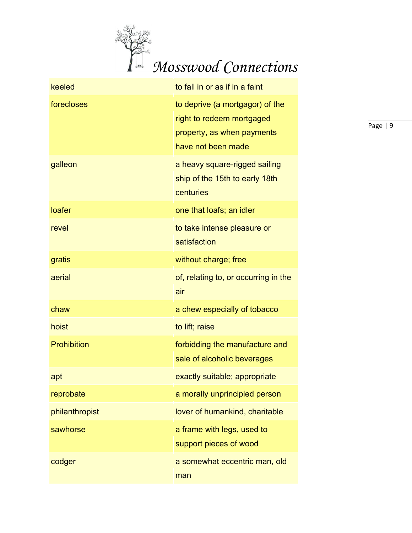

| keeled         | to fall in or as if in a faint                                                                                   |
|----------------|------------------------------------------------------------------------------------------------------------------|
| forecloses     | to deprive (a mortgagor) of the<br>right to redeem mortgaged<br>property, as when payments<br>have not been made |
| galleon        | a heavy square-rigged sailing<br>ship of the 15th to early 18th<br>centuries                                     |
| loafer         | one that loafs; an idler                                                                                         |
| revel          | to take intense pleasure or<br>satisfaction                                                                      |
| gratis         | without charge; free                                                                                             |
| aerial         | of, relating to, or occurring in the<br>air                                                                      |
| chaw           | a chew especially of tobacco                                                                                     |
| hoist          | to lift; raise                                                                                                   |
| Prohibition    | forbidding the manufacture and<br>sale of alcoholic beverages                                                    |
| apt            | exactly suitable; appropriate                                                                                    |
| reprobate      | a morally unprincipled person                                                                                    |
| philanthropist | lover of humankind, charitable                                                                                   |
| sawhorse       | a frame with legs, used to<br>support pieces of wood                                                             |
| codger         | a somewhat eccentric man, old<br>man                                                                             |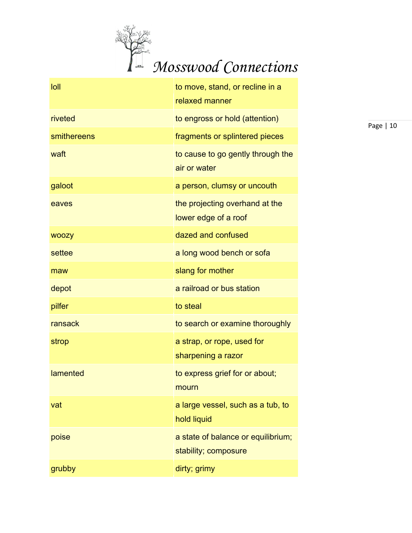

| loll         | to move, stand, or recline in a<br>relaxed manner          |
|--------------|------------------------------------------------------------|
| riveted      | to engross or hold (attention)                             |
| smithereens  | fragments or splintered pieces                             |
| waft         | to cause to go gently through the<br>air or water          |
| galoot       | a person, clumsy or uncouth                                |
| eaves        | the projecting overhand at the<br>lower edge of a roof     |
| <b>WOOZY</b> | dazed and confused                                         |
| settee       | a long wood bench or sofa                                  |
| maw          | slang for mother                                           |
| depot        | a railroad or bus station                                  |
| pilfer       | to steal                                                   |
| ransack      | to search or examine thoroughly                            |
| strop        | a strap, or rope, used for<br>sharpening a razor           |
| lamented     | to express grief for or about;<br>mourn                    |
| vat          | a large vessel, such as a tub, to<br>hold liquid           |
| poise        | a state of balance or equilibrium;<br>stability; composure |
| grubby       | dirty; grimy                                               |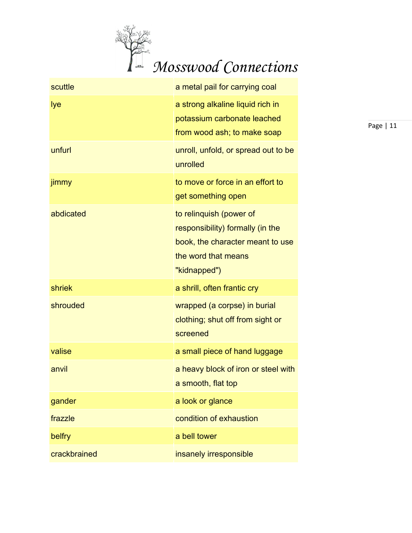

| scuttle      | a metal pail for carrying coal                                                                                                         |
|--------------|----------------------------------------------------------------------------------------------------------------------------------------|
| lye          | a strong alkaline liquid rich in<br>potassium carbonate leached<br>from wood ash; to make soap                                         |
| unfurl       | unroll, unfold, or spread out to be<br>unrolled                                                                                        |
| jimmy        | to move or force in an effort to<br>get something open                                                                                 |
| abdicated    | to relinquish (power of<br>responsibility) formally (in the<br>book, the character meant to use<br>the word that means<br>"kidnapped") |
| shriek       | a shrill, often frantic cry                                                                                                            |
| shrouded     | wrapped (a corpse) in burial<br>clothing; shut off from sight or<br>screened                                                           |
| valise       | a small piece of hand luggage                                                                                                          |
| anvil        | a heavy block of iron or steel with<br>a smooth, flat top                                                                              |
| gander       | a look or glance                                                                                                                       |
| frazzle      | condition of exhaustion                                                                                                                |
| belfry       | a bell tower                                                                                                                           |
| crackbrained | insanely irresponsible                                                                                                                 |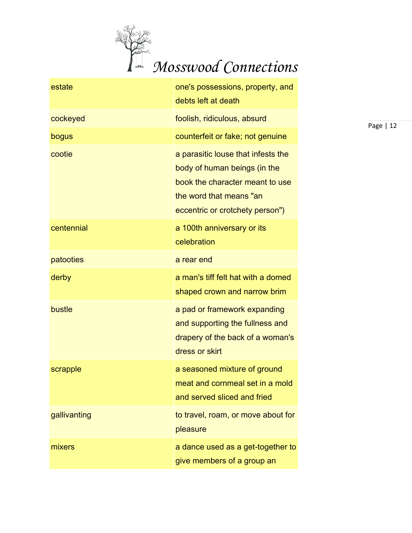

| estate       | one's possessions, property, and<br>debts left at death                                                                                                             |
|--------------|---------------------------------------------------------------------------------------------------------------------------------------------------------------------|
| cockeyed     | foolish, ridiculous, absurd                                                                                                                                         |
| bogus        | counterfeit or fake; not genuine                                                                                                                                    |
| cootie       | a parasitic louse that infests the<br>body of human beings (in the<br>book the character meant to use<br>the word that means "an<br>eccentric or crotchety person") |
| centennial   | a 100th anniversary or its<br>celebration                                                                                                                           |
| patooties    | a rear end                                                                                                                                                          |
| derby        | a man's tiff felt hat with a domed<br>shaped crown and narrow brim                                                                                                  |
| bustle       | a pad or framework expanding<br>and supporting the fullness and<br>drapery of the back of a woman's<br>dress or skirt                                               |
| scrapple     | a seasoned mixture of ground<br>meat and cornmeal set in a mold<br>and served sliced and fried                                                                      |
| gallivanting | to travel, roam, or move about for<br>pleasure                                                                                                                      |
| mixers       | a dance used as a get-together to<br>give members of a group an                                                                                                     |